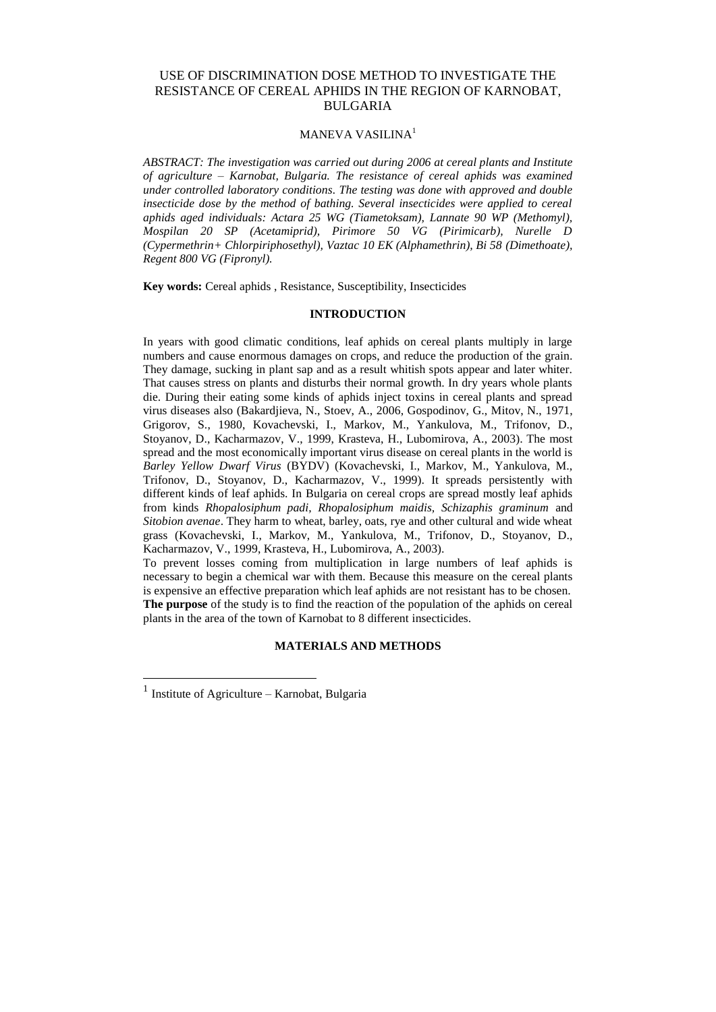# USE OF DISCRIMINATION DOSE METHOD TO INVESTIGATE THE RESISTANCE OF CEREAL APHIDS IN THE REGION OF KARNOBAT, BULGARIA

# MANEVA VASILINA<sup>1</sup>

*ABSTRACT: The investigation was carried out during 2006 at cereal plants and Institute of agriculture – Karnobat, Bulgaria. The resistance of cereal aphids was examined under controlled laboratory conditions. The testing was done with approved and double insecticide dose by the method of bathing. Several insecticides were applied to cereal aphids aged individuals: Actara 25 WG (Tiametoksam), Lannate 90 WP (Methomyl), Mospilan 20 SP (Acetamiprid), Pirimore 50 VG (Pirimicarb), Nurelle D (Cypermethrin+ Chlorpiriphosethyl), Vaztac 10 EK (Alphamethrin), Bi 58 (Dimethoate), Regent 800 VG (Fipronyl).*

**Key words:** Cereal aphids , Resistance, Susceptibility, Insecticides

## **INTRODUCTION**

In years with good climatic conditions, leaf aphids on cereal plants multiply in large numbers and cause enormous damages on crops, and reduce the production of the grain. They damage, sucking in plant sap and as a result whitish spots appear and later whiter. That causes stress on plants and disturbs their normal growth. In dry years whole plants die. During their eating some kinds of aphids inject toxins in cereal plants and spread virus diseases also (Bakardjieva, N., Stoev, A., 2006, Gospodinov, G., Mitov, N., 1971, Grigorov, S., 1980, Kovachevski, I., Markov, M., Yankulova, M., Trifonov, D., Stoyanov, D., Kacharmazov, V., 1999, Krasteva, H., Lubomirova, A., 2003). The most spread and the most economically important virus disease on cereal plants in the world is *Barley Yellow Dwarf Virus* (BYDV) (Kovachevski, I., Markov, M., Yankulova, M., Trifonov, D., Stoyanov, D., Kacharmazov, V., 1999). It spreads persistently with different kinds of leaf aphids. In Bulgaria on cereal crops are spread mostly leaf aphids from kinds *Rhopalosiphum padi, Rhopalosiphum maidis, Schizaphis graminum* and *Sitobion avenae*. They harm to wheat, barley, oats, rye and other cultural and wide wheat grass (Kovachevski, I., Markov, M., Yankulova, M., Trifonov, D., Stoyanov, D., Kacharmazov, V., 1999, Krasteva, H., Lubomirova, A., 2003).

To prevent losses coming from multiplication in large numbers of leaf aphids is necessary to begin a chemical war with them. Because this measure on the cereal plants is expensive an effective preparation which leaf aphids are not resistant has to be chosen. **The purpose** of the study is to find the reaction of the population of the aphids on cereal plants in the area of the town of Karnobat to 8 different insecticides.

#### **MATERIALS AND METHODS**

 $\overline{a}$ 

<sup>&</sup>lt;sup>1</sup> Institute of Agriculture – Karnobat, Bulgaria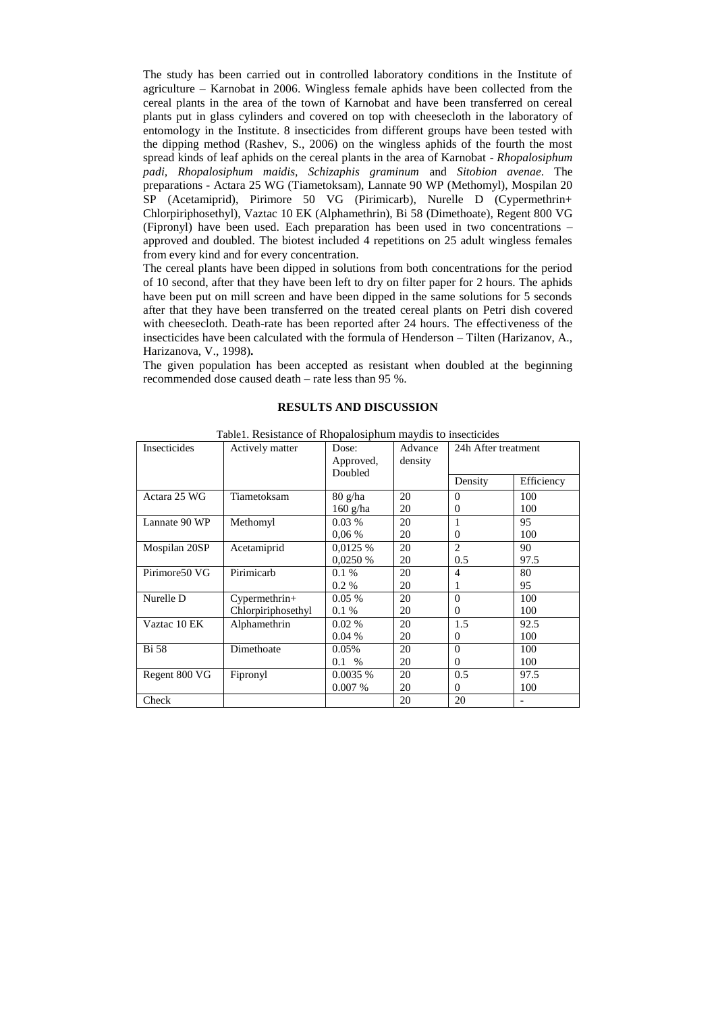The study has been carried out in controlled laboratory conditions in the Institute of agriculture – Karnobat in 2006. Wingless female aphids have been collected from the cereal plants in the area of the town of Karnobat and have been transferred on cereal plants put in glass cylinders and covered on top with cheesecloth in the laboratory of entomology in the Institute. 8 insecticides from different groups have been tested with the dipping method (Rashev, S., 2006) on the wingless aphids of the fourth the most spread kinds of leaf aphids on the cereal plants in the area of Karnobat - *Rhopalosiphum padi, Rhopalosiphum maidis, Schizaphis graminum* and *Sitobion avenae*. The preparations - Actara 25 WG (Tiametoksam), Lannate 90 WP (Methomyl), Mospilan 20 SP (Acetamiprid), Pirimore 50 VG (Pirimicarb), Nurelle D (Cypermethrin+ Chlorpiriphosethyl), Vaztac 10 EK (Alphamethrin), Bi 58 (Dimethoate), Regent 800 VG (Fipronyl) have been used. Each preparation has been used in two concentrations – approved and doubled. The biotest included 4 repetitions on 25 adult wingless females from every kind and for every concentration.

The cereal plants have been dipped in solutions from both concentrations for the period of 10 second, after that they have been left to dry on filter paper for 2 hours. The aphids have been put on mill screen and have been dipped in the same solutions for 5 seconds after that they have been transferred on the treated cereal plants on Petri dish covered with cheesecloth. Death-rate has been reported after 24 hours. The effectiveness of the insecticides have been calculated with the formula of Henderson – Tilten (Harizanov, A., Harizanova, V., 1998)**.**

The given population has been accepted as resistant when doubled at the beginning recommended dose caused death – rate less than 95 %.

## **RESULTS AND DISCUSSION**

| Insecticides  | Actively matter                       | Dose:<br>Approved,<br>Doubled                  | Advance<br>density | radict. Resistance of Rhoparosipham may als to msecurities<br>24h After treatment<br>Efficiency<br>Density |             |
|---------------|---------------------------------------|------------------------------------------------|--------------------|------------------------------------------------------------------------------------------------------------|-------------|
| Actara 25 WG  | Tiametoksam                           | $80 \frac{\text{g}}{\text{h}}$ a<br>$160$ g/ha | 20<br>20           | $\Omega$<br>$\Omega$                                                                                       | 100<br>100  |
| Lannate 90 WP | Methomyl                              | $0.03\%$<br>0.06%                              | 20<br>20           | $\Omega$                                                                                                   | 95<br>100   |
| Mospilan 20SP | Acetamiprid                           | 0.0125%<br>0.0250%                             | 20<br>20           | $\mathfrak{D}$<br>0.5                                                                                      | 90<br>97.5  |
| Pirimore50 VG | Pirimicarb                            | 0.1%<br>$0.2\%$                                | 20<br>20           | 4<br>1                                                                                                     | 80<br>95    |
| Nurelle D     | $Cypermethrin+$<br>Chlorpiriphosethyl | $0.05\%$<br>0.1%                               | 20<br>20           | $\Omega$<br>$\Omega$                                                                                       | 100<br>100  |
| Vaztac 10 EK  | Alphamethrin                          | $0.02\%$<br>0.04%                              | 20<br>20           | 1.5<br>0                                                                                                   | 92.5<br>100 |
| <b>Bi</b> 58  | Dimethoate                            | 0.05%<br>$0.1\%$                               | 20<br>20           | $\Omega$<br>$\Omega$                                                                                       | 100<br>100  |
| Regent 800 VG | Fipronyl                              | 0.0035%<br>0.007%                              | 20<br>20           | 0.5<br>0                                                                                                   | 97.5<br>100 |
| Check         |                                       |                                                | 20                 | 20                                                                                                         |             |

Table1. Resistance of Rhopalosiphum maydis to insecticides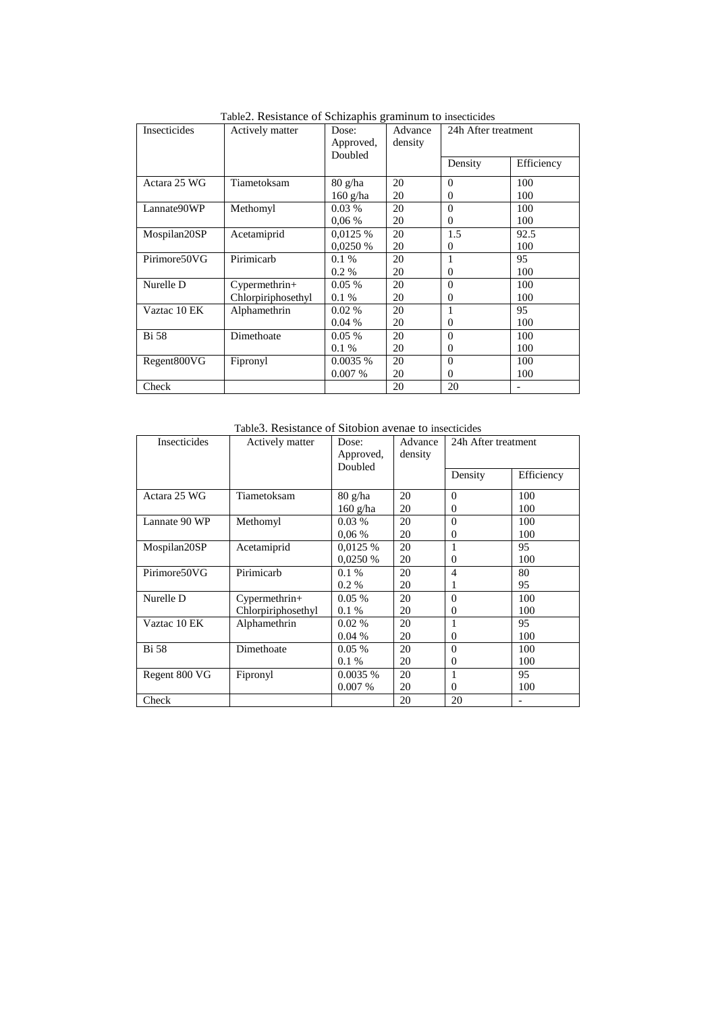| Insecticides | Actively matter    | Dose:                            | Advance | 24h After treatment |            |  |
|--------------|--------------------|----------------------------------|---------|---------------------|------------|--|
|              |                    | Approved,                        | density |                     |            |  |
|              |                    | Doubled                          |         |                     |            |  |
|              |                    |                                  |         | Density             | Efficiency |  |
|              |                    |                                  |         |                     |            |  |
| Actara 25 WG | Tiametoksam        | $80 \frac{\text{g}}{\text{h}}$ a | 20      | $\Omega$            | 100        |  |
|              |                    | 160 g/ha                         | 20      | $\Omega$            | 100        |  |
| Lannate90WP  | Methomyl           | $0.03\%$                         | 20      | $\theta$            | 100        |  |
|              |                    | $0.06\%$                         | 20      | 0                   | 100        |  |
| Mospilan20SP | Acetamiprid        | 0.0125%                          | 20      | 1.5                 | 92.5       |  |
|              |                    | 0.0250%                          | 20      | $\Omega$            | 100        |  |
| Pirimore50VG | Pirimicarb         | 0.1%                             | 20      |                     | 95         |  |
|              |                    | 0.2 %                            | 20      | 0                   | 100        |  |
| Nurelle D    | Cypermethrin+      | $0.05\%$                         | 20      | $\theta$            | 100        |  |
|              | Chlorpiriphosethyl | $0.1\%$                          | 20      | $\Omega$            | 100        |  |
| Vaztac 10 EK | Alphamethrin       | $0.02\%$                         | 20      |                     | 95         |  |
|              |                    | 0.04%                            | 20      | 0                   | 100        |  |
| <b>Bi</b> 58 | Dimethoate         | $0.05\%$                         | 20      | $\Omega$            | 100        |  |
|              |                    | 0.1%                             | 20      | 0                   | 100        |  |
| Regent800VG  | Fipronyl           | 0.0035%                          | 20      | $\Omega$            | 100        |  |
|              |                    | 0.007%                           | 20      | $\Omega$            | 100        |  |
| Check        |                    |                                  | 20      | 20                  |            |  |

Table2. Resistance of Schizaphis graminum to insecticides

Table3. Resistance of Sitobion avenae to insecticides

| <b>Insecticides</b> | Actively matter<br>Dose:<br>Approved,<br>Doubled |                                  | Advance<br>density | 24h After treatment |            |
|---------------------|--------------------------------------------------|----------------------------------|--------------------|---------------------|------------|
|                     |                                                  |                                  |                    | Density             | Efficiency |
| Actara 25 WG        | Tiametoksam                                      | $80 \frac{\text{g}}{\text{h}}$ a | 20                 | $\Omega$            | 100        |
|                     |                                                  | $160$ g/ha                       | 20                 | $\Omega$            | 100        |
| Lannate 90 WP       | Methomyl                                         | $0.03\%$                         | 20                 | $\Omega$            | 100        |
|                     |                                                  | 0.06%                            | 20                 | $\Omega$            | 100        |
| Mospilan20SP        | Acetamiprid                                      | 0,0125 %                         | 20                 |                     | 95         |
|                     |                                                  | 0.0250%                          | 20                 | $\Omega$            | 100        |
| Pirimore50VG        | Pirimicarb                                       | 0.1%                             | 20                 | $\overline{4}$      | 80         |
|                     |                                                  | $0.2\%$                          | 20                 |                     | 95         |
| Nurelle D           | $Cypermethrin+$                                  | $0.05\%$                         | 20                 | $\Omega$            | 100        |
|                     | Chlorpiriphosethyl                               | $0.1\%$                          | 20                 | $\Omega$            | 100        |
| Vaztac 10 EK        | Alphamethrin                                     | 0.02%                            | 20                 | 1                   | 95         |
|                     |                                                  | 0.04%                            | 20                 | $\Omega$            | 100        |
| <b>Bi</b> 58        | Dimethoate                                       | $0.05\%$                         | 20                 | $\Omega$            | 100        |
|                     |                                                  | $0.1\%$                          | 20                 | $\Omega$            | 100        |
| Regent 800 VG       | Fipronyl                                         | 0.0035%                          | 20                 | 1                   | 95         |
|                     |                                                  | 0.007%                           | 20                 | $\Omega$            | 100        |
| Check               |                                                  |                                  | 20                 | 20                  |            |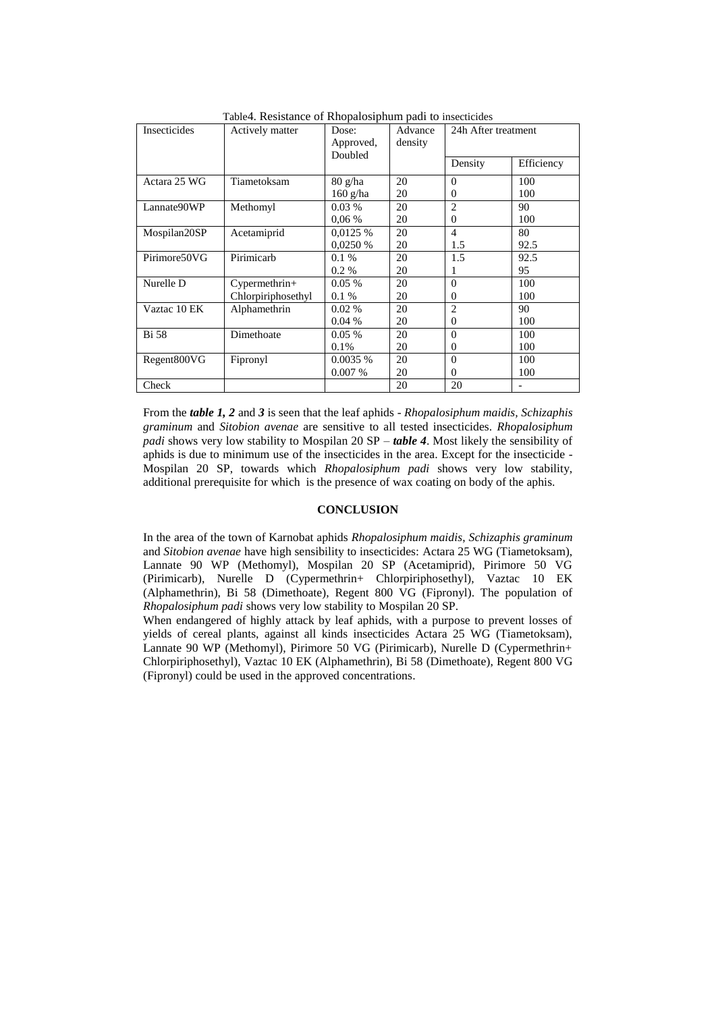| Insecticides | Actively matter<br>Dose:<br>Approved, |                                  | Advance<br>density | 24h After treatment |            |
|--------------|---------------------------------------|----------------------------------|--------------------|---------------------|------------|
|              |                                       | Doubled                          |                    | Density             | Efficiency |
| Actara 25 WG | Tiametoksam                           | $80 \frac{\text{g}}{\text{h}}$ a | 20                 | $\Omega$            | 100        |
|              |                                       | $160$ g/ha                       | 20                 | $\Omega$            | 100        |
| Lannate90WP  | Methomyl                              | $0.03\%$                         | 20                 | $\overline{2}$      | 90         |
|              |                                       | $0.06\%$                         | 20                 | $\overline{0}$      | 100        |
| Mospilan20SP | Acetamiprid                           | 0.0125%                          | 20                 | $\overline{4}$      | 80         |
|              |                                       | 0.0250%                          | 20                 | 1.5                 | 92.5       |
| Pirimore50VG | Pirimicarb                            | 0.1%                             | 20                 | 1.5                 | 92.5       |
|              |                                       | $0.2\%$                          | 20                 | 1                   | 95         |
| Nurelle D    | Cypermethrin+                         | $0.05\%$                         | 20                 | $\Omega$            | 100        |
|              | Chlorpiriphosethyl                    | $0.1\%$                          | 20                 | $\Omega$            | 100        |
| Vaztac 10 EK | Alphamethrin                          | $0.02\%$                         | 20                 | $\overline{2}$      | 90         |
|              |                                       | $0.04\%$                         | 20                 | $\overline{0}$      | 100        |
| <b>Bi</b> 58 | Dimethoate                            | $0.05\%$                         | 20                 | $\Omega$            | 100        |
|              |                                       | 0.1%                             | 20                 | 0                   | 100        |
| Regent800VG  | Fipronyl                              | 0.0035%                          | 20                 | $\Omega$            | 100        |
|              |                                       | 0.007%                           | 20                 | $\overline{0}$      | 100        |
| Check        |                                       |                                  | 20                 | 20                  |            |

Table4. Resistance of Rhopalosiphum padi to insecticides

From the *table 1, 2* and *3* is seen that the leaf aphids - *Rhopalosiphum maidis, Schizaphis graminum* and *Sitobion avenae* are sensitive to all tested insecticides. *Rhopalosiphum padi* shows very low stability to Mospilan 20 SP – *table 4*. Most likely the sensibility of aphids is due to minimum use of the insecticides in the area. Except for the insecticide - Mospilan 20 SP, towards which *Rhopalosiphum padi* shows very low stability, additional prerequisite for which is the presence of wax coating on body of the aphis.

### **CONCLUSION**

In the area of the town of Karnobat aphids *Rhopalosiphum maidis*, *Schizaphis graminum* and *Sitobion avenae* have high sensibility to insecticides: Actara 25 WG (Tiametoksam), Lannate 90 WP (Methomyl), Mospilan 20 SP (Acetamiprid), Pirimore 50 VG (Pirimicarb), Nurelle D (Cypermethrin+ Chlorpiriphosethyl), Vaztac 10 EK (Alphamethrin), Bi 58 (Dimethoate), Regent 800 VG (Fipronyl). The population of *Rhopalosiphum padi* shows very low stability to Mospilan 20 SP.

When endangered of highly attack by leaf aphids, with a purpose to prevent losses of yields of cereal plants, against all kinds insecticides Actara 25 WG (Tiametoksam), Lannate 90 WP (Methomyl), Pirimore 50 VG (Pirimicarb), Nurelle D (Cypermethrin+ Chlorpiriphosethyl), Vaztac 10 EK (Alphamethrin), Bi 58 (Dimethoate), Regent 800 VG (Fipronyl) could be used in the approved concentrations.